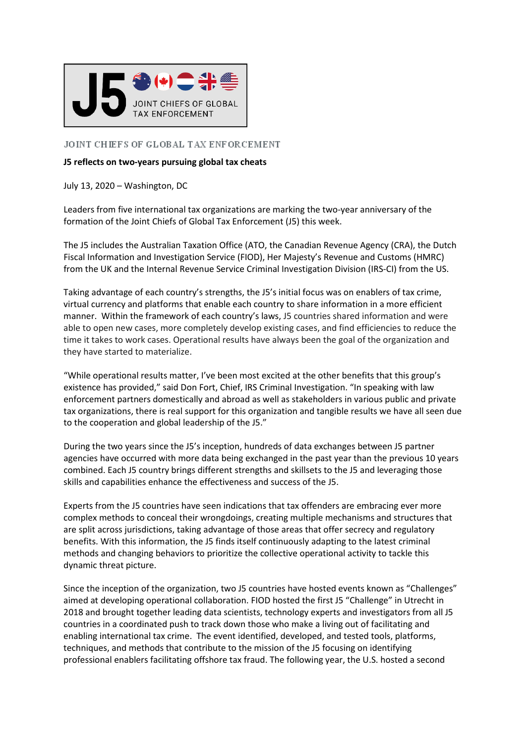

## JOINT CHIEFS OF GLOBAL TAX ENFORCEMENT

## **J5 reflects on two-years pursuing global tax cheats**

July 13, 2020 – Washington, DC

Leaders from five international tax organizations are marking the two-year anniversary of the formation of the Joint Chiefs of Global Tax Enforcement (J5) this week.

The J5 includes the Australian Taxation Office (ATO, the Canadian Revenue Agency (CRA), the Dutch Fiscal Information and Investigation Service (FIOD), Her Majesty's Revenue and Customs (HMRC) from the UK and the Internal Revenue Service Criminal Investigation Division (IRS-CI) from the US.

Taking advantage of each country's strengths, the J5's initial focus was on enablers of tax crime, virtual currency and platforms that enable each country to share information in a more efficient manner. Within the framework of each country's laws, J5 countries shared information and were able to open new cases, more completely develop existing cases, and find efficiencies to reduce the time it takes to work cases. Operational results have always been the goal of the organization and they have started to materialize.

"While operational results matter, I've been most excited at the other benefits that this group's existence has provided," said Don Fort, Chief, IRS Criminal Investigation. "In speaking with law enforcement partners domestically and abroad as well as stakeholders in various public and private tax organizations, there is real support for this organization and tangible results we have all seen due to the cooperation and global leadership of the J5."

During the two years since the J5's inception, hundreds of data exchanges between J5 partner agencies have occurred with more data being exchanged in the past year than the previous 10 years combined. Each J5 country brings different strengths and skillsets to the J5 and leveraging those skills and capabilities enhance the effectiveness and success of the J5.

Experts from the J5 countries have seen indications that tax offenders are embracing ever more complex methods to conceal their wrongdoings, creating multiple mechanisms and structures that are split across jurisdictions, taking advantage of those areas that offer secrecy and regulatory benefits. With this information, the J5 finds itself continuously adapting to the latest criminal methods and changing behaviors to prioritize the collective operational activity to tackle this dynamic threat picture.

Since the inception of the organization, two J5 countries have hosted events known as "Challenges" aimed at developing operational collaboration. FIOD hosted the first J5 "Challenge" in Utrecht in 2018 and brought together leading data scientists, technology experts and investigators from all J5 countries in a coordinated push to track down those who make a living out of facilitating and enabling international tax crime. The event identified, developed, and tested tools, platforms, techniques, and methods that contribute to the mission of the J5 focusing on identifying professional enablers facilitating offshore tax fraud. The following year, the U.S. hosted a second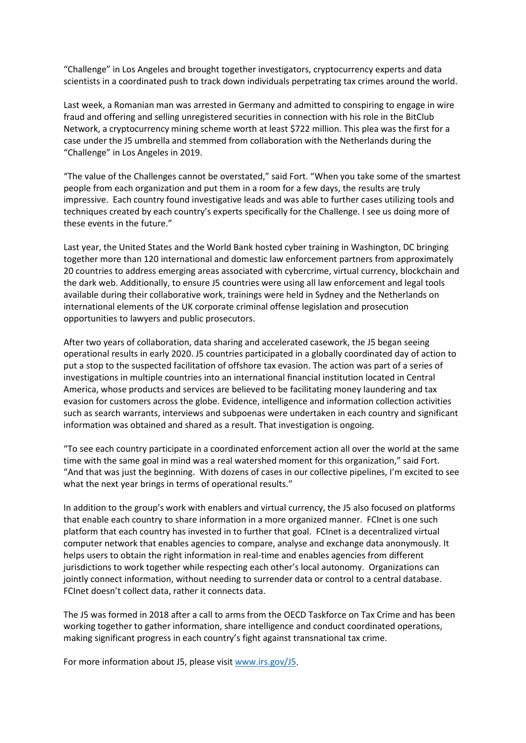"Challenge" in Los Angeles and brought together investigators, cryptocurrency experts and data scientists in a coordinated push to track down individuals perpetrating tax crimes around the world.

Last week, a Romanian man was arrested in Germany and admitted to conspiring to engage in wire fraud and offering and selling unregistered securities in connection with his role in the BitClub Network, a cryptocurrency mining scheme worth at least \$722 million. This plea was the first for a case under the J5 umbrella and stemmed from collaboration with the Netherlands during the "Challenge" in Los Angeles in 2019.

"The value of the Challenges cannot be overstated," said Fort. "When you take some of the smartest people from each organization and put them in a room for a few days, the results are truly impressive. Each country found investigative leads and was able to further cases utilizing tools and techniques created by each country's experts specifically for the Challenge. I see us doing more of these events in the future."

Last year, the United States and the World Bank hosted cyber training in Washington, DC bringing together more than 120 international and domestic law enforcement partners from approximately 20 countries to address emerging areas associated with cybercrime, virtual currency, blockchain and the dark web. Additionally, to ensure J5 countries were using all law enforcement and legal tools available during their collaborative work, trainings were held in Sydney and the Netherlands on international elements of the UK corporate criminal offense legislation and prosecution opportunities to lawyers and public prosecutors.

After two years of collaboration, data sharing and accelerated casework, the J5 began seeing operational results in early 2020. J5 countries participated in a globally coordinated day of action to put a stop to the suspected facilitation of offshore tax evasion. The action was part of a series of investigations in multiple countries into an international financial institution located in Central America, whose products and services are believed to be facilitating money laundering and tax evasion for customers across the globe. Evidence, intelligence and information collection activities such as search warrants, interviews and subpoenas were undertaken in each country and significant information was obtained and shared as a result. That investigation is ongoing.

"To see each country participate in a coordinated enforcement action all over the world at the same time with the same goal in mind was a real watershed moment for this organization," said Fort. "And that was just the beginning. With dozens of cases in our collective pipelines, I'm excited to see what the next year brings in terms of operational results."

In addition to the group's work with enablers and virtual currency, the J5 also focused on platforms that enable each country to share information in a more organized manner. FCInet is one such platform that each country has invested in to further that goal. FCInet is a decentralized virtual computer network that enables agencies to compare, analyse and exchange data anonymously. It helps users to obtain the right information in real-time and enables agencies from different jurisdictions to work together while respecting each other's local autonomy. Organizations can jointly connect information, without needing to surrender data or control to a central database. FCInet doesn't collect data, rather it connects data.

The J5 was formed in 2018 after a call to arms from the OECD Taskforce on Tax Crime and has been working together to gather information, share intelligence and conduct coordinated operations, making significant progress in each country's fight against transnational tax crime.

For more information about J5, please visit [www.irs.gov/J5.](http://www.irs.gov/J5)